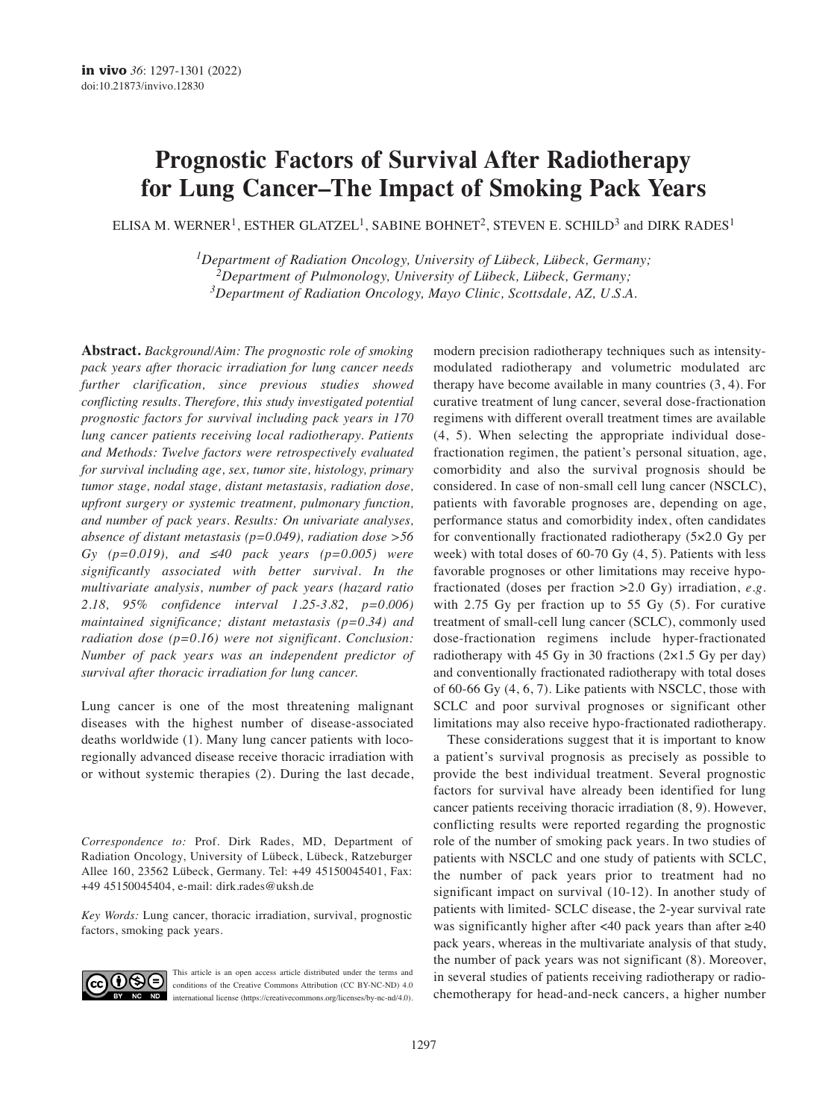# **Prognostic Factors of Survival After Radiotherapy for Lung Cancer–The Impact of Smoking Pack Years**

ELISA M. WERNER<sup>1</sup>, ESTHER GLATZEL<sup>1</sup>, SABINE BOHNET<sup>2</sup>, STEVEN E. SCHILD<sup>3</sup> and DIRK RADES<sup>1</sup>

*1Department of Radiation Oncology, University of Lübeck, Lübeck, Germany; 2Department of Pulmonology, University of Lübeck, Lübeck, Germany; 3Department of Radiation Oncology, Mayo Clinic, Scottsdale, AZ, U.S.A.*

**Abstract.** *Background/Aim: The prognostic role of smoking pack years after thoracic irradiation for lung cancer needs further clarification, since previous studies showed conflicting results. Therefore, this study investigated potential prognostic factors for survival including pack years in 170 lung cancer patients receiving local radiotherapy. Patients and Methods: Twelve factors were retrospectively evaluated for survival including age, sex, tumor site, histology, primary tumor stage, nodal stage, distant metastasis, radiation dose, upfront surgery or systemic treatment, pulmonary function, and number of pack years. Results: On univariate analyses, absence of distant metastasis (p=0.049), radiation dose >56 Gy (p=0.019), and ≤40 pack years (p=0.005) were significantly associated with better survival. In the multivariate analysis, number of pack years (hazard ratio 2.18, 95% confidence interval 1.25-3.82, p=0.006) maintained significance; distant metastasis (p=0.34) and radiation dose (p=0.16) were not significant. Conclusion: Number of pack years was an independent predictor of survival after thoracic irradiation for lung cancer.*

Lung cancer is one of the most threatening malignant diseases with the highest number of disease-associated deaths worldwide (1). Many lung cancer patients with locoregionally advanced disease receive thoracic irradiation with or without systemic therapies (2). During the last decade,

*Correspondence to:* Prof. Dirk Rades, MD, Department of Radiation Oncology, University of Lübeck, Lübeck, Ratzeburger Allee 160, 23562 Lübeck, Germany. Tel: +49 45150045401, Fax: +49 45150045404, e-mail: dirk.rades@uksh.de

*Key Words:* Lung cancer, thoracic irradiation, survival, prognostic factors, smoking pack years.



This article is an open access article distributed under the terms and conditions of the Creative Commons Attribution (CC BY-NC-ND) 4.0 international license (https://creativecommons.org/licenses/by-nc-nd/4.0).

modern precision radiotherapy techniques such as intensitymodulated radiotherapy and volumetric modulated arc therapy have become available in many countries (3, 4). For curative treatment of lung cancer, several dose-fractionation regimens with different overall treatment times are available (4, 5). When selecting the appropriate individual dosefractionation regimen, the patient's personal situation, age, comorbidity and also the survival prognosis should be considered. In case of non-small cell lung cancer (NSCLC), patients with favorable prognoses are, depending on age, performance status and comorbidity index, often candidates for conventionally fractionated radiotherapy (5×2.0 Gy per week) with total doses of 60-70 Gy (4, 5). Patients with less favorable prognoses or other limitations may receive hypofractionated (doses per fraction >2.0 Gy) irradiation, *e.g.* with 2.75 Gy per fraction up to 55 Gy (5). For curative treatment of small-cell lung cancer (SCLC), commonly used dose-fractionation regimens include hyper-fractionated radiotherapy with 45 Gy in 30 fractions  $(2\times1.5 \text{ Gy per day})$ and conventionally fractionated radiotherapy with total doses of 60-66 Gy (4, 6, 7). Like patients with NSCLC, those with SCLC and poor survival prognoses or significant other limitations may also receive hypo-fractionated radiotherapy.

These considerations suggest that it is important to know a patient's survival prognosis as precisely as possible to provide the best individual treatment. Several prognostic factors for survival have already been identified for lung cancer patients receiving thoracic irradiation (8, 9). However, conflicting results were reported regarding the prognostic role of the number of smoking pack years. In two studies of patients with NSCLC and one study of patients with SCLC, the number of pack years prior to treatment had no significant impact on survival (10-12). In another study of patients with limited- SCLC disease, the 2-year survival rate was significantly higher after <40 pack years than after ≥40 pack years, whereas in the multivariate analysis of that study, the number of pack years was not significant (8). Moreover, in several studies of patients receiving radiotherapy or radiochemotherapy for head-and-neck cancers, a higher number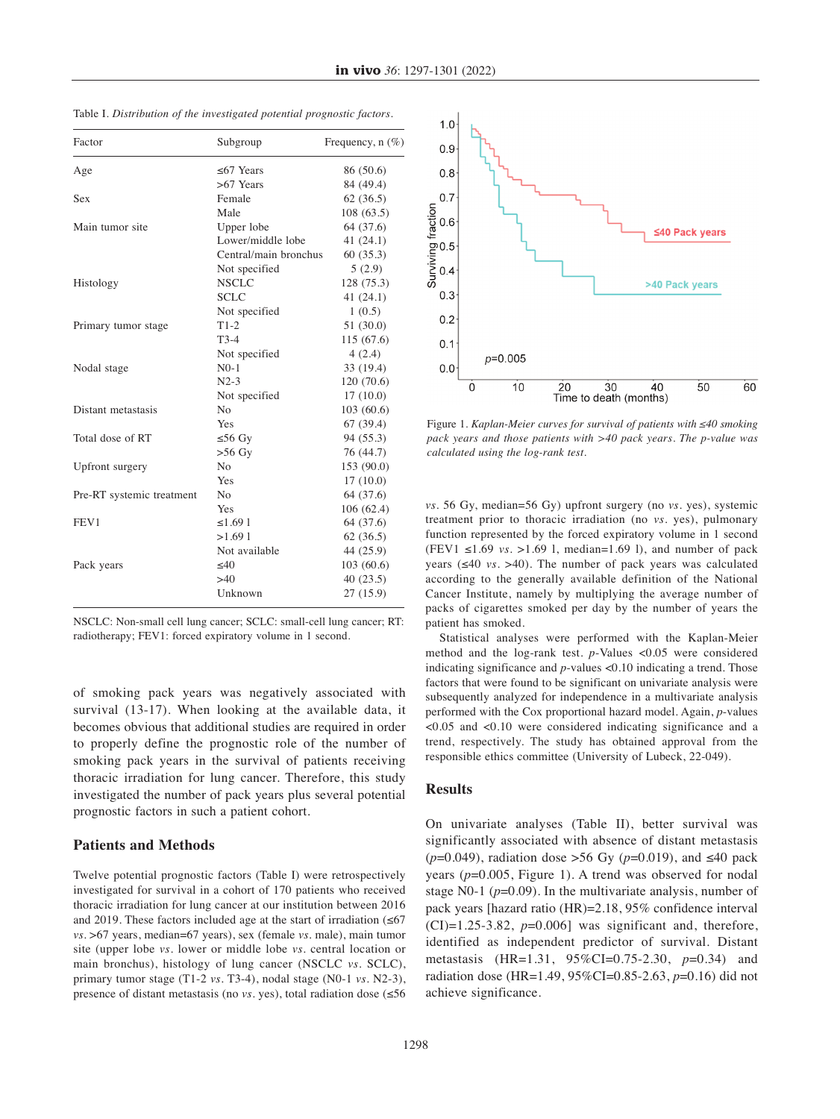| Factor<br>Subgroup        |                       | Frequency, n (%) |  |
|---------------------------|-----------------------|------------------|--|
| Age                       | $\leq$ 67 Years       | 86 (50.6)        |  |
|                           | $>67$ Years           | 84 (49.4)        |  |
| Sex                       | Female                | 62(36.5)         |  |
|                           | Male                  | 108(63.5)        |  |
| Main tumor site           | Upper lobe            | 64 (37.6)        |  |
|                           | Lower/middle lobe     | 41 $(24.1)$      |  |
|                           | Central/main bronchus | 60(35.3)         |  |
|                           | Not specified         | 5(2.9)           |  |
| Histology                 | <b>NSCLC</b>          | 128 (75.3)       |  |
|                           | <b>SCLC</b>           | 41(24.1)         |  |
|                           | Not specified         | 1(0.5)           |  |
| Primary tumor stage       | $T1-2$                | 51(30.0)         |  |
|                           | $T3-4$                | 115 (67.6)       |  |
|                           | Not specified         | 4(2.4)           |  |
| Nodal stage               | $N0-1$                | 33 (19.4)        |  |
|                           | $N2-3$                | 120 (70.6)       |  |
|                           | Not specified         | 17(10.0)         |  |
| Distant metastasis        | N <sub>0</sub>        | 103(60.6)        |  |
|                           | Yes                   | 67(39.4)         |  |
| Total dose of RT          | $≤ 56$ Gy             | 94 (55.3)        |  |
|                           | $>56$ Gy              | 76 (44.7)        |  |
| Upfront surgery           | N <sub>0</sub>        | 153 (90.0)       |  |
|                           | Yes                   | 17(10.0)         |  |
| Pre-RT systemic treatment | N <sub>0</sub>        | 64 (37.6)        |  |
|                           | Yes                   | 106 (62.4)       |  |
| FEV1                      | ≤1.691                | 64 (37.6)        |  |
|                           | >1.691                | 62(36.5)         |  |
|                           | Not available         | 44 (25.9)        |  |
| Pack years                | $\leq 40$             | 103(60.6)        |  |
|                           | >40                   | 40(23.5)         |  |
|                           | Unknown               | 27(15.9)         |  |

Table I*. Distribution of the investigated potential prognostic factors.*

| NSCLC: Non-small cell lung cancer; SCLC: small-cell lung cancer; RT: |  |
|----------------------------------------------------------------------|--|
| radiotherapy; FEV1: forced expiratory volume in 1 second.            |  |

of smoking pack years was negatively associated with survival (13-17). When looking at the available data, it becomes obvious that additional studies are required in order to properly define the prognostic role of the number of smoking pack years in the survival of patients receiving thoracic irradiation for lung cancer. Therefore, this study investigated the number of pack years plus several potential prognostic factors in such a patient cohort.

#### **Patients and Methods**

Twelve potential prognostic factors (Table I) were retrospectively investigated for survival in a cohort of 170 patients who received thoracic irradiation for lung cancer at our institution between 2016 and 2019. These factors included age at the start of irradiation  $(\leq 67)$ *vs.* >67 years, median=67 years), sex (female *vs.* male), main tumor site (upper lobe *vs.* lower or middle lobe *vs.* central location or main bronchus), histology of lung cancer (NSCLC *vs.* SCLC), primary tumor stage (T1-2 *vs.* T3-4), nodal stage (N0-1 *vs.* N2-3), presence of distant metastasis (no *vs.* yes), total radiation dose (≤56



Figure 1. *Kaplan-Meier curves for survival of patients with ≤40 smoking pack years and those patients with >40 pack years. The p-value was calculated using the log-rank test.*

*vs*. 56 Gy, median=56 Gy) upfront surgery (no *vs.* yes), systemic treatment prior to thoracic irradiation (no *vs.* yes), pulmonary function represented by the forced expiratory volume in 1 second (FEV1 ≤1.69 *vs.* >1.69 l, median=1.69 l), and number of pack years (≤40 *vs*. >40). The number of pack years was calculated according to the generally available definition of the National Cancer Institute, namely by multiplying the average number of packs of cigarettes smoked per day by the number of years the patient has smoked.

Statistical analyses were performed with the Kaplan-Meier method and the log-rank test. *p*-Values <0.05 were considered indicating significance and *p*-values <0.10 indicating a trend. Those factors that were found to be significant on univariate analysis were subsequently analyzed for independence in a multivariate analysis performed with the Cox proportional hazard model. Again, *p*-values <0.05 and <0.10 were considered indicating significance and a trend, respectively. The study has obtained approval from the responsible ethics committee (University of Lubeck, 22-049).

#### **Results**

On univariate analyses (Table II), better survival was significantly associated with absence of distant metastasis (*p*=0.049), radiation dose >56 Gy (*p*=0.019), and ≤40 pack years (*p*=0.005, Figure 1). A trend was observed for nodal stage N0-1 (*p*=0.09). In the multivariate analysis, number of pack years [hazard ratio (HR)=2.18, 95% confidence interval  $(CI)=1.25-3.82$ ,  $p=0.006$ ] was significant and, therefore, identified as independent predictor of survival. Distant metastasis (HR=1.31, 95%CI=0.75-2.30, *p*=0.34) and radiation dose (HR=1.49, 95%CI=0.85-2.63, *p*=0.16) did not achieve significance.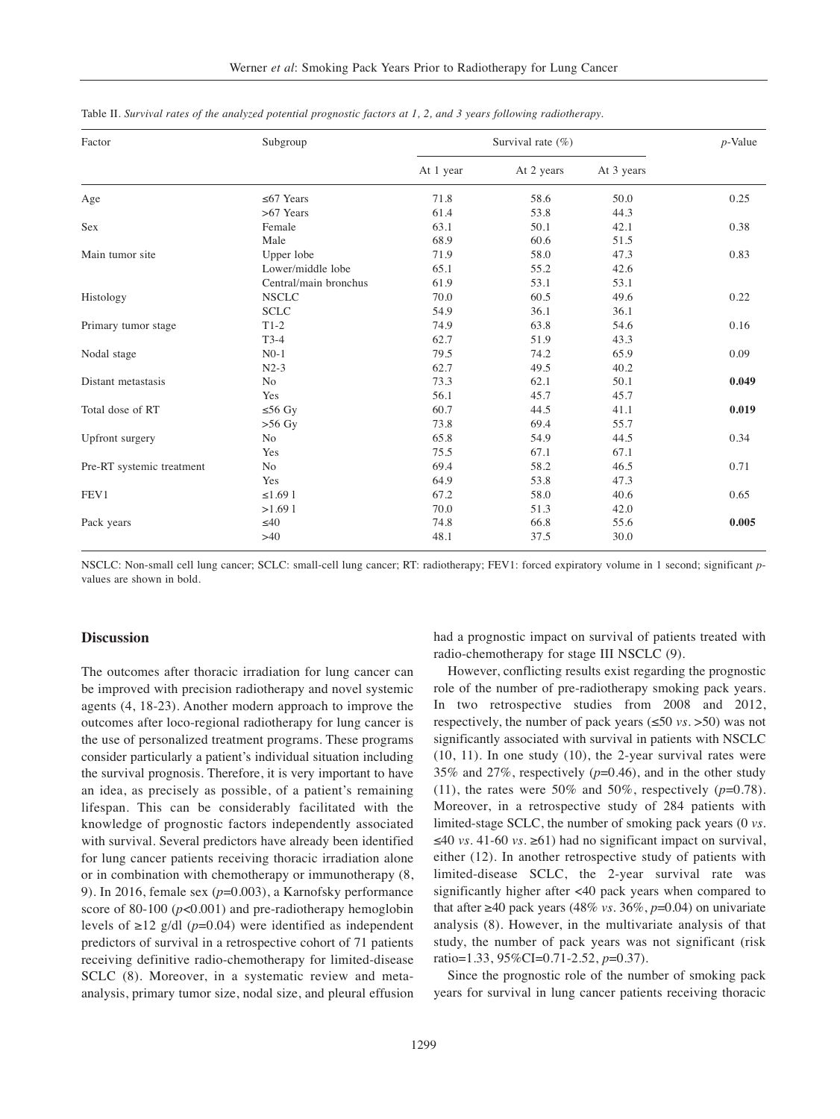| Factor                    | Subgroup              | Survival rate $(\% )$ | $p$ -Value |            |       |
|---------------------------|-----------------------|-----------------------|------------|------------|-------|
|                           |                       | At 1 year             | At 2 years | At 3 years |       |
| Age                       | $\leq 67$ Years       | 71.8                  | 58.6       | 50.0       | 0.25  |
|                           | $>67$ Years           | 61.4                  | 53.8       | 44.3       |       |
| Sex                       | Female                | 63.1                  | 50.1       | 42.1       | 0.38  |
|                           | Male                  | 68.9                  | 60.6       | 51.5       |       |
| Main tumor site           | Upper lobe            | 71.9                  | 58.0       | 47.3       | 0.83  |
|                           | Lower/middle lobe     | 65.1                  | 55.2       | 42.6       |       |
|                           | Central/main bronchus | 61.9                  | 53.1       | 53.1       |       |
| Histology                 | <b>NSCLC</b>          | 70.0                  | 60.5       | 49.6       | 0.22  |
|                           | <b>SCLC</b>           | 54.9                  | 36.1       | 36.1       |       |
| Primary tumor stage       | $T1-2$                | 74.9                  | 63.8       | 54.6       | 0.16  |
|                           | $T3-4$                | 62.7                  | 51.9       | 43.3       |       |
| Nodal stage               | $N0-1$                | 79.5                  | 74.2       | 65.9       | 0.09  |
|                           | $N2-3$                | 62.7                  | 49.5       | 40.2       |       |
| Distant metastasis        | N <sub>o</sub>        | 73.3                  | 62.1       | 50.1       | 0.049 |
|                           | Yes                   | 56.1                  | 45.7       | 45.7       |       |
| Total dose of RT          | $≤ 56 Gy$             | 60.7                  | 44.5       | 41.1       | 0.019 |
|                           | $>56$ Gy              | 73.8                  | 69.4       | 55.7       |       |
| Upfront surgery           | N <sub>o</sub>        | 65.8                  | 54.9       | 44.5       | 0.34  |
|                           | Yes                   | 75.5                  | 67.1       | 67.1       |       |
| Pre-RT systemic treatment | N <sub>o</sub>        | 69.4                  | 58.2       | 46.5       | 0.71  |
|                           | Yes                   | 64.9                  | 53.8       | 47.3       |       |
| FEV1                      | ≤1.691                | 67.2                  | 58.0       | 40.6       | 0.65  |
|                           | >1.691                | 70.0                  | 51.3       | 42.0       |       |
| Pack years                | $\leq 40$             | 74.8                  | 66.8       | 55.6       | 0.005 |
|                           | >40                   | 48.1                  | 37.5       | 30.0       |       |

| Table II. Survival rates of the analyzed potential prognostic factors at 1, 2, and 3 years following radiotherapy. |  |  |  |
|--------------------------------------------------------------------------------------------------------------------|--|--|--|
|--------------------------------------------------------------------------------------------------------------------|--|--|--|

NSCLC: Non-small cell lung cancer; SCLC: small-cell lung cancer; RT: radiotherapy; FEV1: forced expiratory volume in 1 second; significant *p*values are shown in bold.

#### **Discussion**

The outcomes after thoracic irradiation for lung cancer can be improved with precision radiotherapy and novel systemic agents (4, 18-23). Another modern approach to improve the outcomes after loco-regional radiotherapy for lung cancer is the use of personalized treatment programs. These programs consider particularly a patient's individual situation including the survival prognosis. Therefore, it is very important to have an idea, as precisely as possible, of a patient's remaining lifespan. This can be considerably facilitated with the knowledge of prognostic factors independently associated with survival. Several predictors have already been identified for lung cancer patients receiving thoracic irradiation alone or in combination with chemotherapy or immunotherapy (8, 9). In 2016, female sex (*p*=0.003), a Karnofsky performance score of 80-100 (*p*<0.001) and pre-radiotherapy hemoglobin levels of  $\geq$ 12 g/dl (*p*=0.04) were identified as independent predictors of survival in a retrospective cohort of 71 patients receiving definitive radio-chemotherapy for limited-disease SCLC (8). Moreover, in a systematic review and metaanalysis, primary tumor size, nodal size, and pleural effusion had a prognostic impact on survival of patients treated with radio-chemotherapy for stage III NSCLC (9).

However, conflicting results exist regarding the prognostic role of the number of pre-radiotherapy smoking pack years. In two retrospective studies from 2008 and 2012, respectively, the number of pack years (≤50 *vs.* >50) was not significantly associated with survival in patients with NSCLC (10, 11). In one study (10), the 2-year survival rates were 35% and 27%, respectively (*p*=0.46), and in the other study (11), the rates were  $50\%$  and  $50\%$ , respectively ( $p=0.78$ ). Moreover, in a retrospective study of 284 patients with limited-stage SCLC, the number of smoking pack years (0 *vs.* ≤40 *vs.* 41-60 *vs.* ≥61) had no significant impact on survival, either (12). In another retrospective study of patients with limited-disease SCLC, the 2-year survival rate was significantly higher after <40 pack years when compared to that after ≥40 pack years (48% *vs.* 36%,  $p=0.04$ ) on univariate analysis (8). However, in the multivariate analysis of that study, the number of pack years was not significant (risk ratio=1.33, 95%CI=0.71-2.52, *p*=0.37).

Since the prognostic role of the number of smoking pack years for survival in lung cancer patients receiving thoracic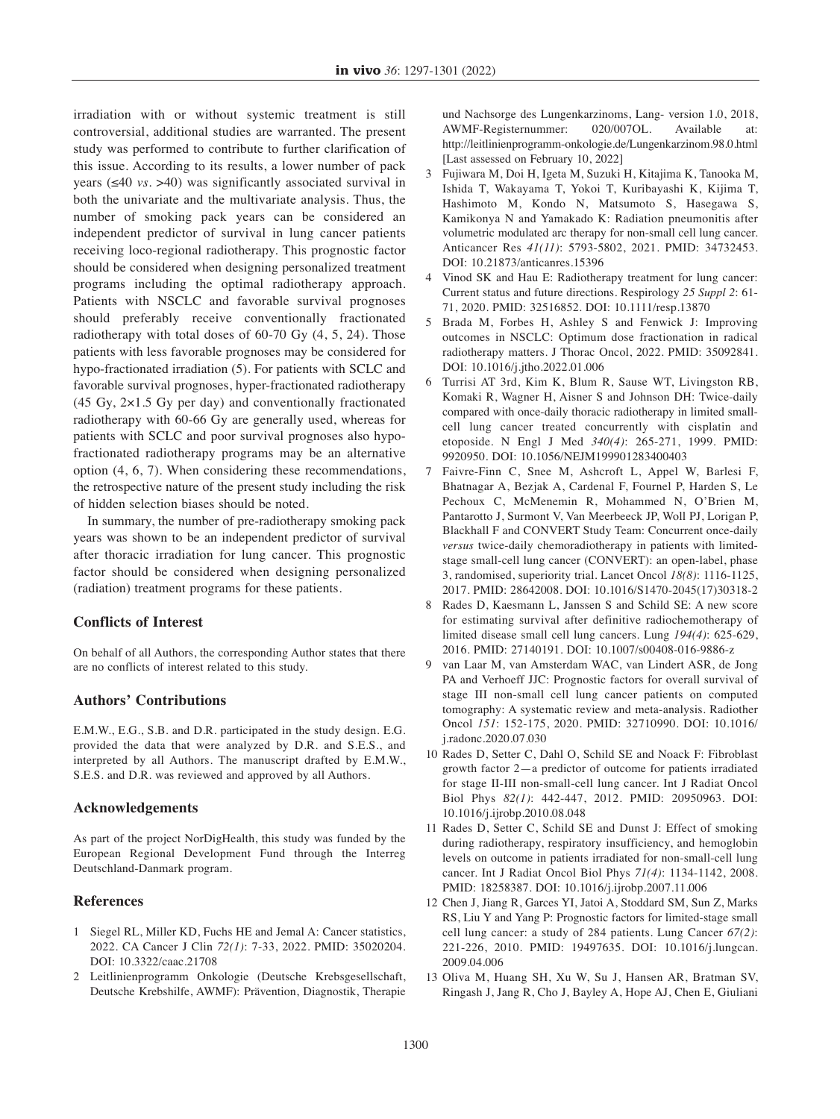irradiation with or without systemic treatment is still controversial, additional studies are warranted. The present study was performed to contribute to further clarification of this issue. According to its results, a lower number of pack years (≤40 *vs.* >40) was significantly associated survival in both the univariate and the multivariate analysis. Thus, the number of smoking pack years can be considered an independent predictor of survival in lung cancer patients receiving loco-regional radiotherapy. This prognostic factor should be considered when designing personalized treatment programs including the optimal radiotherapy approach. Patients with NSCLC and favorable survival prognoses should preferably receive conventionally fractionated radiotherapy with total doses of 60-70 Gy (4, 5, 24). Those patients with less favorable prognoses may be considered for hypo-fractionated irradiation (5). For patients with SCLC and favorable survival prognoses, hyper-fractionated radiotherapy (45 Gy, 2×1.5 Gy per day) and conventionally fractionated radiotherapy with 60-66 Gy are generally used, whereas for patients with SCLC and poor survival prognoses also hypofractionated radiotherapy programs may be an alternative option (4, 6, 7). When considering these recommendations, the retrospective nature of the present study including the risk of hidden selection biases should be noted.

In summary, the number of pre-radiotherapy smoking pack years was shown to be an independent predictor of survival after thoracic irradiation for lung cancer. This prognostic factor should be considered when designing personalized (radiation) treatment programs for these patients.

## **Conflicts of Interest**

On behalf of all Authors, the corresponding Author states that there are no conflicts of interest related to this study.

## **Authors' Contributions**

E.M.W., E.G., S.B. and D.R. participated in the study design. E.G. provided the data that were analyzed by D.R. and S.E.S., and interpreted by all Authors. The manuscript drafted by E.M.W., S.E.S. and D.R. was reviewed and approved by all Authors.

#### **Acknowledgements**

As part of the project NorDigHealth, this study was funded by the European Regional Development Fund through the Interreg Deutschland-Danmark program.

## **References**

- 1 Siegel RL, Miller KD, Fuchs HE and Jemal A: Cancer statistics, 2022. CA Cancer J Clin *72(1)*: 7-33, 2022. PMID: 35020204. DOI: 10.3322/caac.21708
- 2 Leitlinienprogramm Onkologie (Deutsche Krebsgesellschaft, Deutsche Krebshilfe, AWMF): Prävention, Diagnostik, Therapie

und Nachsorge des Lungenkarzinoms, Lang- version 1.0, 2018, AWMF-Registernummer: 020/007OL. Available at: http://leitlinienprogramm-onkologie.de/Lungenkarzinom.98.0.html [Last assessed on February 10, 2022]

- 3 Fujiwara M, Doi H, Igeta M, Suzuki H, Kitajima K, Tanooka M, Ishida T, Wakayama T, Yokoi T, Kuribayashi K, Kijima T, Hashimoto M, Kondo N, Matsumoto S, Hasegawa S, Kamikonya N and Yamakado K: Radiation pneumonitis after volumetric modulated arc therapy for non-small cell lung cancer. Anticancer Res *41(11)*: 5793-5802, 2021. PMID: 34732453. DOI: 10.21873/anticanres.15396
- 4 Vinod SK and Hau E: Radiotherapy treatment for lung cancer: Current status and future directions. Respirology *25 Suppl 2*: 61- 71, 2020. PMID: 32516852. DOI: 10.1111/resp.13870
- 5 Brada M, Forbes H, Ashley S and Fenwick J: Improving outcomes in NSCLC: Optimum dose fractionation in radical radiotherapy matters. J Thorac Oncol, 2022. PMID: 35092841. DOI: 10.1016/j.jtho.2022.01.006
- 6 Turrisi AT 3rd, Kim K, Blum R, Sause WT, Livingston RB, Komaki R, Wagner H, Aisner S and Johnson DH: Twice-daily compared with once-daily thoracic radiotherapy in limited smallcell lung cancer treated concurrently with cisplatin and etoposide. N Engl J Med *340(4)*: 265-271, 1999. PMID: 9920950. DOI: 10.1056/NEJM199901283400403
- 7 Faivre-Finn C, Snee M, Ashcroft L, Appel W, Barlesi F, Bhatnagar A, Bezjak A, Cardenal F, Fournel P, Harden S, Le Pechoux C, McMenemin R, Mohammed N, O'Brien M, Pantarotto J, Surmont V, Van Meerbeeck JP, Woll PJ, Lorigan P, Blackhall F and CONVERT Study Team: Concurrent once-daily *versus* twice-daily chemoradiotherapy in patients with limitedstage small-cell lung cancer (CONVERT): an open-label, phase 3, randomised, superiority trial. Lancet Oncol *18(8)*: 1116-1125, 2017. PMID: 28642008. DOI: 10.1016/S1470-2045(17)30318-2
- 8 Rades D, Kaesmann L, Janssen S and Schild SE: A new score for estimating survival after definitive radiochemotherapy of limited disease small cell lung cancers. Lung *194(4)*: 625-629, 2016. PMID: 27140191. DOI: 10.1007/s00408-016-9886-z
- 9 van Laar M, van Amsterdam WAC, van Lindert ASR, de Jong PA and Verhoeff JJC: Prognostic factors for overall survival of stage III non-small cell lung cancer patients on computed tomography: A systematic review and meta-analysis. Radiother Oncol *151*: 152-175, 2020. PMID: 32710990. DOI: 10.1016/ j.radonc.2020.07.030
- 10 Rades D, Setter C, Dahl O, Schild SE and Noack F: Fibroblast growth factor 2—a predictor of outcome for patients irradiated for stage II-III non-small-cell lung cancer. Int J Radiat Oncol Biol Phys *82(1)*: 442-447, 2012. PMID: 20950963. DOI: 10.1016/j.ijrobp.2010.08.048
- 11 Rades D, Setter C, Schild SE and Dunst J: Effect of smoking during radiotherapy, respiratory insufficiency, and hemoglobin levels on outcome in patients irradiated for non-small-cell lung cancer. Int J Radiat Oncol Biol Phys *71(4)*: 1134-1142, 2008. PMID: 18258387. DOI: 10.1016/j.ijrobp.2007.11.006
- 12 Chen J, Jiang R, Garces YI, Jatoi A, Stoddard SM, Sun Z, Marks RS, Liu Y and Yang P: Prognostic factors for limited-stage small cell lung cancer: a study of 284 patients. Lung Cancer *67(2)*: 221-226, 2010. PMID: 19497635. DOI: 10.1016/j.lungcan. 2009.04.006
- 13 Oliva M, Huang SH, Xu W, Su J, Hansen AR, Bratman SV, Ringash J, Jang R, Cho J, Bayley A, Hope AJ, Chen E, Giuliani